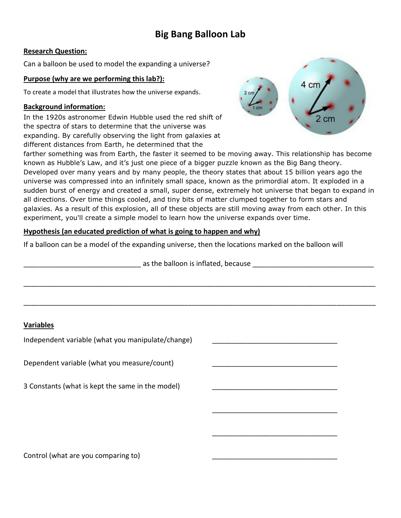# **Big Bang Balloon Lab**

### **Research Question:**

Can a balloon be used to model the expanding a universe?

#### **Purpose (why are we performing this lab?):**

To create a model that illustrates how the universe expands.

#### **Background information:**

In the 1920s astronomer Edwin Hubble used the red shift of the spectra of stars to determine that the universe was expanding. By carefully observing the light from galaxies at different distances from Earth, he determined that the



farther something was from Earth, the faster it seemed to be moving away. This relationship has become known as Hubble's Law, and it's just one piece of a bigger puzzle known as the Big Bang theory. Developed over many years and by many people, the theory states that about 15 billion years ago the universe was compressed into an infinitely small space, known as the primordial atom. It exploded in a sudden burst of energy and created a small, super dense, extremely hot universe that began to expand in all directions. Over time things cooled, and tiny bits of matter clumped together to form stars and galaxies. As a result of this explosion, all of these objects are still moving away from each other. In this experiment, you'll create a simple model to learn how the universe expands over time.

### **Hypothesis (an educated prediction of what is going to happen and why)**

If a balloon can be a model of the expanding universe, then the locations marked on the balloon will

 $\overline{\phantom{a}}$  , which is a set of the contract of the contract of the contract of the contract of the contract of the contract of the contract of the contract of the contract of the contract of the contract of the contract

 $\overline{\phantom{a}}$  , which is a set of the contract of the contract of the contract of the contract of the contract of the contract of the contract of the contract of the contract of the contract of the contract of the contract

\_\_\_\_\_\_\_\_\_\_\_\_\_\_\_\_\_\_\_\_\_\_\_\_\_\_\_\_\_\_ as the balloon is inflated, because \_\_\_\_\_\_\_\_\_\_\_\_\_\_\_\_\_\_\_\_\_\_\_\_\_\_\_\_\_\_\_

\_\_\_\_\_\_\_\_\_\_\_\_\_\_\_\_\_\_\_\_\_\_\_\_\_\_\_\_\_\_\_\_\_\_\_\_\_\_\_\_\_\_\_\_\_\_\_\_\_\_\_\_\_\_\_\_\_\_\_\_\_\_\_\_\_\_\_\_\_\_\_\_\_\_\_\_\_\_\_\_\_\_\_\_\_\_\_\_\_\_

\_\_\_\_\_\_\_\_\_\_\_\_\_\_\_\_\_\_\_\_\_\_\_\_\_\_\_\_\_\_\_\_\_\_\_\_\_\_\_\_\_\_\_\_\_\_\_\_\_\_\_\_\_\_\_\_\_\_\_\_\_\_\_\_\_\_\_\_\_\_\_\_\_\_\_\_\_\_\_\_\_\_\_\_\_\_\_\_\_\_

### **Variables**

Independent variable (what you manipulate/change)

Dependent variable (what you measure/count)

3 Constants (what is kept the same in the model)

Control (what are you comparing to)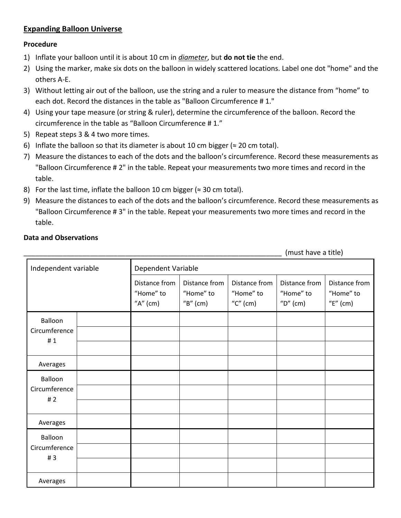### **Expanding Balloon Universe**

### **Procedure**

- 1) Inflate your balloon until it is about 10 cm in *diameter*, but **do not tie** the end.
- 2) Using the marker, make six dots on the balloon in widely scattered locations. Label one dot "home" and the others A-E.
- 3) Without letting air out of the balloon, use the string and a ruler to measure the distance from "home" to each dot. Record the distances in the table as "Balloon Circumference # 1."
- 4) Using your tape measure (or string & ruler), determine the circumference of the balloon. Record the circumference in the table as "Balloon Circumference # 1."
- 5) Repeat steps 3 & 4 two more times.
- 6) Inflate the balloon so that its diameter is about 10 cm bigger ( $\approx$  20 cm total).
- 7) Measure the distances to each of the dots and the balloon's circumference. Record these measurements as "Balloon Circumference # 2" in the table. Repeat your measurements two more times and record in the table.
- 8) For the last time, inflate the balloon 10 cm bigger ( $\approx$  30 cm total).
- 9) Measure the distances to each of the dots and the balloon's circumference. Record these measurements as "Balloon Circumference # 3" in the table. Repeat your measurements two more times and record in the table.

### **Data and Observations**

(must have a title)

| Independent variable           |  | Dependent Variable                        |                                          |                                          |                                          |                                          |
|--------------------------------|--|-------------------------------------------|------------------------------------------|------------------------------------------|------------------------------------------|------------------------------------------|
|                                |  | Distance from<br>"Home" to<br>" $A"$ (cm) | Distance from<br>"Home" to<br>"B" $(cm)$ | Distance from<br>"Home" to<br>"C" $(cm)$ | Distance from<br>"Home" to<br>"D" $(cm)$ | Distance from<br>"Home" to<br>"E" $(cm)$ |
| Balloon<br>Circumference<br>#1 |  |                                           |                                          |                                          |                                          |                                          |
|                                |  |                                           |                                          |                                          |                                          |                                          |
|                                |  |                                           |                                          |                                          |                                          |                                          |
| Averages                       |  |                                           |                                          |                                          |                                          |                                          |
| Balloon<br>Circumference<br>#2 |  |                                           |                                          |                                          |                                          |                                          |
|                                |  |                                           |                                          |                                          |                                          |                                          |
|                                |  |                                           |                                          |                                          |                                          |                                          |
| Averages                       |  |                                           |                                          |                                          |                                          |                                          |
| Balloon<br>Circumference<br>#3 |  |                                           |                                          |                                          |                                          |                                          |
|                                |  |                                           |                                          |                                          |                                          |                                          |
|                                |  |                                           |                                          |                                          |                                          |                                          |
| Averages                       |  |                                           |                                          |                                          |                                          |                                          |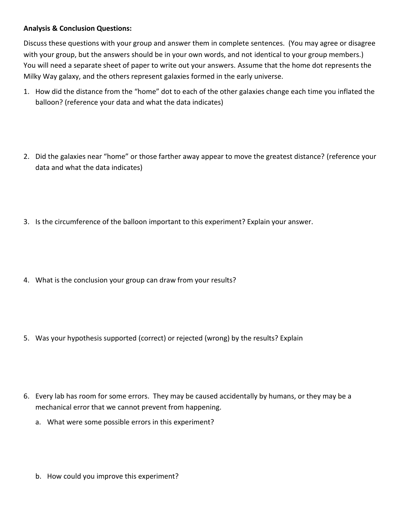### **Analysis & Conclusion Questions:**

Discuss these questions with your group and answer them in complete sentences. (You may agree or disagree with your group, but the answers should be in your own words, and not identical to your group members.) You will need a separate sheet of paper to write out your answers. Assume that the home dot represents the Milky Way galaxy, and the others represent galaxies formed in the early universe.

- 1. How did the distance from the "home" dot to each of the other galaxies change each time you inflated the balloon? (reference your data and what the data indicates)
- 2. Did the galaxies near "home" or those farther away appear to move the greatest distance? (reference your data and what the data indicates)
- 3. Is the circumference of the balloon important to this experiment? Explain your answer.
- 4. What is the conclusion your group can draw from your results?
- 5. Was your hypothesis supported (correct) or rejected (wrong) by the results? Explain
- 6. Every lab has room for some errors. They may be caused accidentally by humans, or they may be a mechanical error that we cannot prevent from happening.
	- a. What were some possible errors in this experiment?
	- b. How could you improve this experiment?